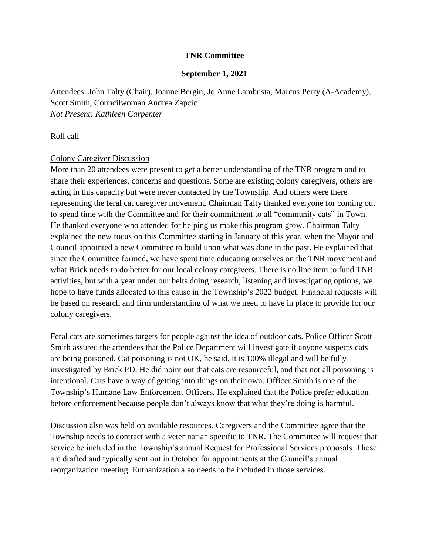### **TNR Committee**

#### **September 1, 2021**

Attendees: John Talty (Chair), Joanne Bergin, Jo Anne Lambusta, Marcus Perry (A-Academy), Scott Smith, Councilwoman Andrea Zapcic *Not Present: Kathleen Carpenter*

#### Roll call

#### Colony Caregiver Discussion

More than 20 attendees were present to get a better understanding of the TNR program and to share their experiences, concerns and questions. Some are existing colony caregivers, others are acting in this capacity but were never contacted by the Township. And others were there representing the feral cat caregiver movement. Chairman Talty thanked everyone for coming out to spend time with the Committee and for their commitment to all "community cats" in Town. He thanked everyone who attended for helping us make this program grow. Chairman Talty explained the new focus on this Committee starting in January of this year, when the Mayor and Council appointed a new Committee to build upon what was done in the past. He explained that since the Committee formed, we have spent time educating ourselves on the TNR movement and what Brick needs to do better for our local colony caregivers. There is no line item to fund TNR activities, but with a year under our belts doing research, listening and investigating options, we hope to have funds allocated to this cause in the Township's 2022 budget. Financial requests will be based on research and firm understanding of what we need to have in place to provide for our colony caregivers.

Feral cats are sometimes targets for people against the idea of outdoor cats. Police Officer Scott Smith assured the attendees that the Police Department will investigate if anyone suspects cats are being poisoned. Cat poisoning is not OK, he said, it is 100% illegal and will be fully investigated by Brick PD. He did point out that cats are resourceful, and that not all poisoning is intentional. Cats have a way of getting into things on their own. Officer Smith is one of the Township's Humane Law Enforcement Officers. He explained that the Police prefer education before enforcement because people don't always know that what they're doing is harmful.

Discussion also was held on available resources. Caregivers and the Committee agree that the Township needs to contract with a veterinarian specific to TNR. The Committee will request that service be included in the Township's annual Request for Professional Services proposals. Those are drafted and typically sent out in October for appointments at the Council's annual reorganization meeting. Euthanization also needs to be included in those services.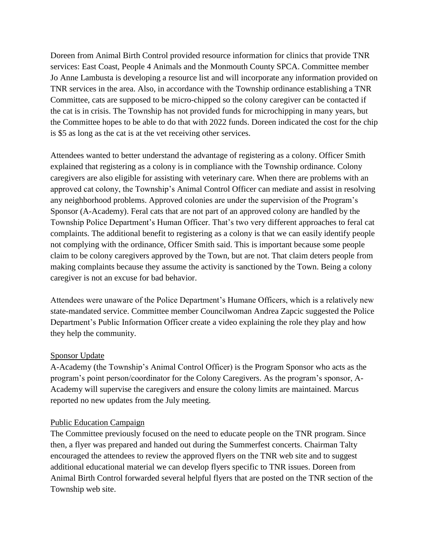Doreen from Animal Birth Control provided resource information for clinics that provide TNR services: East Coast, People 4 Animals and the Monmouth County SPCA. Committee member Jo Anne Lambusta is developing a resource list and will incorporate any information provided on TNR services in the area. Also, in accordance with the Township ordinance establishing a TNR Committee, cats are supposed to be micro-chipped so the colony caregiver can be contacted if the cat is in crisis. The Township has not provided funds for microchipping in many years, but the Committee hopes to be able to do that with 2022 funds. Doreen indicated the cost for the chip is \$5 as long as the cat is at the vet receiving other services.

Attendees wanted to better understand the advantage of registering as a colony. Officer Smith explained that registering as a colony is in compliance with the Township ordinance. Colony caregivers are also eligible for assisting with veterinary care. When there are problems with an approved cat colony, the Township's Animal Control Officer can mediate and assist in resolving any neighborhood problems. Approved colonies are under the supervision of the Program's Sponsor (A-Academy). Feral cats that are not part of an approved colony are handled by the Township Police Department's Human Officer. That's two very different approaches to feral cat complaints. The additional benefit to registering as a colony is that we can easily identify people not complying with the ordinance, Officer Smith said. This is important because some people claim to be colony caregivers approved by the Town, but are not. That claim deters people from making complaints because they assume the activity is sanctioned by the Town. Being a colony caregiver is not an excuse for bad behavior.

Attendees were unaware of the Police Department's Humane Officers, which is a relatively new state-mandated service. Committee member Councilwoman Andrea Zapcic suggested the Police Department's Public Information Officer create a video explaining the role they play and how they help the community.

# Sponsor Update

A-Academy (the Township's Animal Control Officer) is the Program Sponsor who acts as the program's point person/coordinator for the Colony Caregivers. As the program's sponsor, A-Academy will supervise the caregivers and ensure the colony limits are maintained. Marcus reported no new updates from the July meeting.

# Public Education Campaign

The Committee previously focused on the need to educate people on the TNR program. Since then, a flyer was prepared and handed out during the Summerfest concerts. Chairman Talty encouraged the attendees to review the approved flyers on the TNR web site and to suggest additional educational material we can develop flyers specific to TNR issues. Doreen from Animal Birth Control forwarded several helpful flyers that are posted on the TNR section of the Township web site.